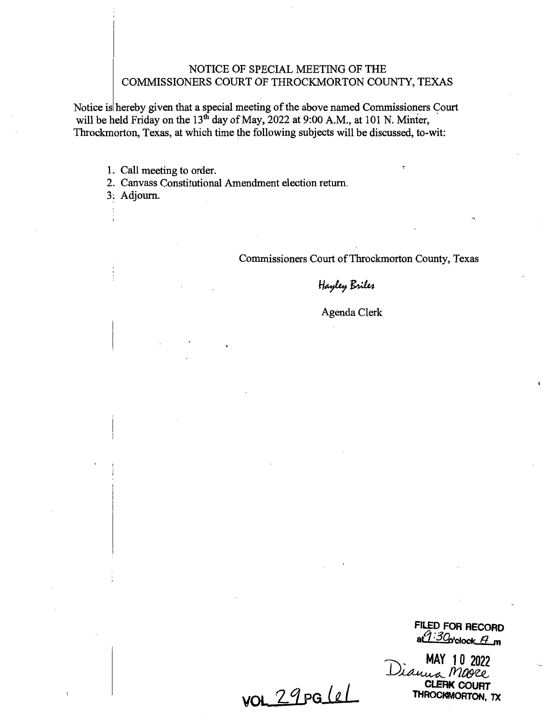## NOTICE OF SPECIAL MEETING OF THE COMMISSIONERS COURT OF THROCKMORTON COUNTY, TEXAS

Notice is hereby given that a special meeting of the above named Commissioners Court will be held Friday on the  $13<sup>th</sup>$  day of May, 2022 at 9:00 A.M., at 101 N. Minter, Throckmorton, Texas, at which time the following subjects will be discussed, to-wit:

1. Call meeting to order.

2. Canvass Constitutional Amendment election return.

3: Adjourn.

Commissioners Court of Throckmorton County, Texas

Hayley Briles

Agenda Clerk

**FILED FOR RECORD** *alt :3g,,c1ock..1Ln* 

MAY 10 2022<br>Dianua Mage **Cl.ERK COURT THROCKMORTON, TX** 

**<u>vol. 29 pg/e/</u>**